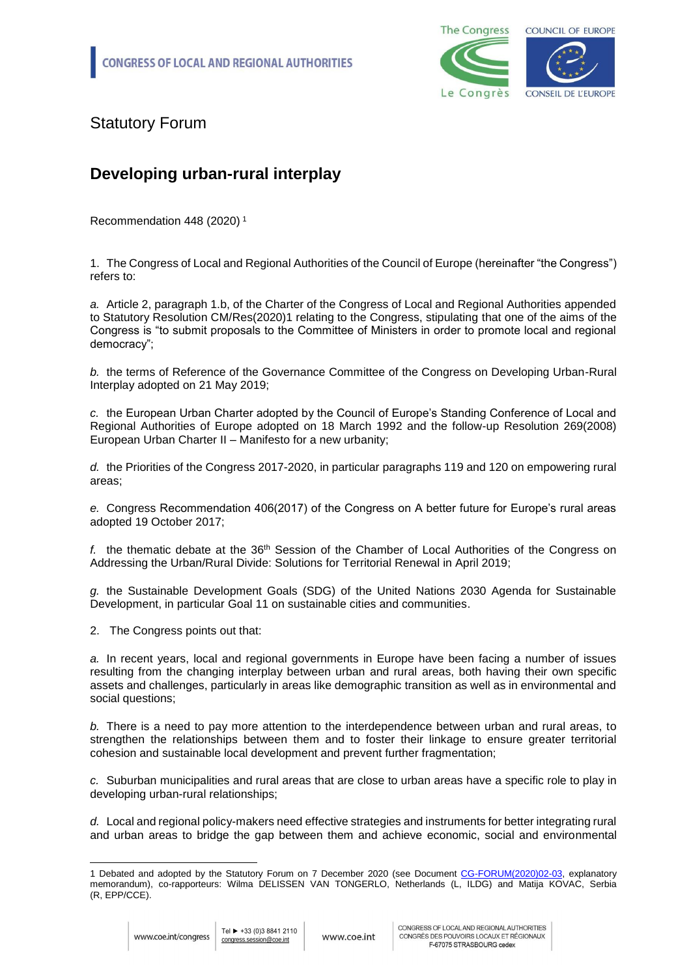

Statutory Forum

## **Developing urban-rural interplay**

[Recommendation 448 \(2020\)](file:///S:/2.%20CONGRESS%20SESSIONS/2020-12-07%20STATUTORY%20FORUM/GOV%20FINAL%20TEXTS/CG-FORUM(2020)02-03_EN_urban-rural%20interplay.docx%23_Toc50731404) <sup>1</sup>

1. The Congress of Local and Regional Authorities of the Council of Europe (hereinafter "the Congress") refers to:

*a.* Article 2, paragraph 1.b, of the Charter of the Congress of Local and Regional Authorities appended to Statutory Resolution CM/Res(2020)1 relating to the Congress, stipulating that one of the aims of the Congress is "to submit proposals to the Committee of Ministers in order to promote local and regional democracy";

*b.* the terms of Reference of the Governance Committee of the Congress on Developing Urban-Rural Interplay adopted on 21 May 2019;

*c.* the European Urban Charter adopted by the Council of Europe's Standing Conference of Local and Regional Authorities of Europe adopted on 18 March 1992 and the follow-up Resolution 269(2008) European Urban Charter II – Manifesto for a new urbanity;

*d.* the Priorities of the Congress 2017-2020, in particular paragraphs 119 and 120 on empowering rural areas;

*e.* Congress Recommendation 406(2017) of the Congress on A better future for Europe's rural areas adopted 19 October 2017;

*f.* the thematic debate at the 36th Session of the Chamber of Local Authorities of the Congress on Addressing the Urban/Rural Divide: Solutions for Territorial Renewal in April 2019;

*g.* the Sustainable Development Goals (SDG) of the United Nations 2030 Agenda for Sustainable Development, in particular Goal 11 on sustainable cities and communities.

2. The Congress points out that:

*a.* In recent years, local and regional governments in Europe have been facing a number of issues resulting from the changing interplay between urban and rural areas, both having their own specific assets and challenges, particularly in areas like demographic transition as well as in environmental and social questions;

*b.* There is a need to pay more attention to the interdependence between urban and rural areas, to strengthen the relationships between them and to foster their linkage to ensure greater territorial cohesion and sustainable local development and prevent further fragmentation;

*c.* Suburban municipalities and rural areas that are close to urban areas have a specific role to play in developing urban-rural relationships;

*d.* Local and regional policy-makers need effective strategies and instruments for better integrating rural and urban areas to bridge the gap between them and achieve economic, social and environmental

<sup>-</sup>1 Debated and adopted by the Statutory Forum on 7 December 2020 (see Document [CG-FORUM\(2020\)02-03,](CG-FORUM(2020)02-03_EN_urban-rural%20interplay.docx) explanatory memorandum), co-rapporteurs: Wilma DELISSEN VAN TONGERLO, Netherlands (L, ILDG) and Matija KOVAC, Serbia (R, EPP/CCE).